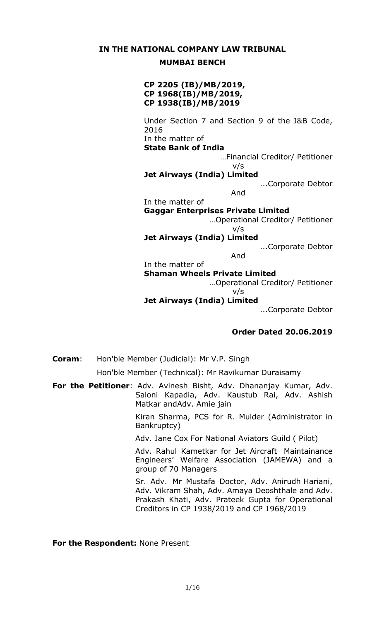### **IN THE NATIONAL COMPANY LAW TRIBUNAL**

### **MUMBAI BENCH**

## **CP 2205 (IB)/MB/2019, CP 1968(IB)/MB/2019, CP 1938(IB)/MB/2019**

Under Section 7 and Section 9 of the I&B Code, 2016 In the matter of **State Bank of India** …Financial Creditor/ Petitioner v/s **Jet Airways (India) Limited** ...Corporate Debtor And In the matter of **Gaggar Enterprises Private Limited** …Operational Creditor/ Petitioner v/s **Jet Airways (India) Limited** ...Corporate Debtor And In the matter of **Shaman Wheels Private Limited** …Operational Creditor/ Petitioner v/s **Jet Airways (India) Limited** ...Corporate Debtor

### **Order Dated 20.06.2019**

**Coram**: Hon'ble Member (Judicial): Mr V.P. Singh

Hon'ble Member (Technical): Mr Ravikumar Duraisamy

**For the Petitioner**: Adv. Avinesh Bisht, Adv. Dhananjay Kumar, Adv. Saloni Kapadia, Adv. Kaustub Rai, Adv. Ashish Matkar andAdv. Amie jain

> Kiran Sharma, PCS for R. Mulder (Administrator in Bankruptcy)

Adv. Jane Cox For National Aviators Guild ( Pilot)

Adv. Rahul Kametkar for Jet Aircraft Maintainance Engineers' Welfare Association (JAMEWA) and a group of 70 Managers

Sr. Adv. Mr Mustafa Doctor, Adv. Anirudh Hariani, Adv. Vikram Shah, Adv. Amaya Deoshthale and Adv. Prakash Khati, Adv. Prateek Gupta for Operational Creditors in CP 1938/2019 and CP 1968/2019

**For the Respondent:** None Present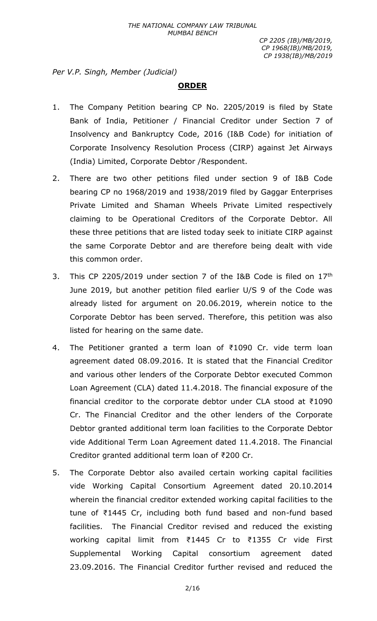*Per V.P. Singh, Member (Judicial)*

# **ORDER**

- 1. The Company Petition bearing CP No. 2205/2019 is filed by State Bank of India, Petitioner / Financial Creditor under Section 7 of Insolvency and Bankruptcy Code, 2016 (I&B Code) for initiation of Corporate Insolvency Resolution Process (CIRP) against Jet Airways (India) Limited, Corporate Debtor /Respondent.
- 2. There are two other petitions filed under section 9 of I&B Code bearing CP no 1968/2019 and 1938/2019 filed by Gaggar Enterprises Private Limited and Shaman Wheels Private Limited respectively claiming to be Operational Creditors of the Corporate Debtor. All these three petitions that are listed today seek to initiate CIRP against the same Corporate Debtor and are therefore being dealt with vide this common order.
- 3. This CP 2205/2019 under section 7 of the I&B Code is filed on 17th June 2019, but another petition filed earlier U/S 9 of the Code was already listed for argument on 20.06.2019, wherein notice to the Corporate Debtor has been served. Therefore, this petition was also listed for hearing on the same date.
- 4. The Petitioner granted a term loan of ₹1090 Cr. vide term loan agreement dated 08.09.2016. It is stated that the Financial Creditor and various other lenders of the Corporate Debtor executed Common Loan Agreement (CLA) dated 11.4.2018. The financial exposure of the financial creditor to the corporate debtor under CLA stood at ₹1090 Cr. The Financial Creditor and the other lenders of the Corporate Debtor granted additional term loan facilities to the Corporate Debtor vide Additional Term Loan Agreement dated 11.4.2018. The Financial Creditor granted additional term loan of ₹200 Cr.
- 5. The Corporate Debtor also availed certain working capital facilities vide Working Capital Consortium Agreement dated 20.10.2014 wherein the financial creditor extended working capital facilities to the tune of ₹1445 Cr, including both fund based and non-fund based facilities. The Financial Creditor revised and reduced the existing working capital limit from ₹1445 Cr to ₹1355 Cr vide First Supplemental Working Capital consortium agreement dated 23.09.2016. The Financial Creditor further revised and reduced the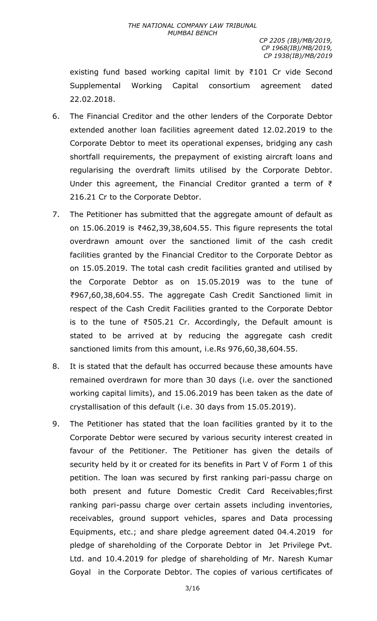existing fund based working capital limit by ₹101 Cr vide Second Supplemental Working Capital consortium agreement dated 22.02.2018.

- 6. The Financial Creditor and the other lenders of the Corporate Debtor extended another loan facilities agreement dated 12.02.2019 to the Corporate Debtor to meet its operational expenses, bridging any cash shortfall requirements, the prepayment of existing aircraft loans and regularising the overdraft limits utilised by the Corporate Debtor. Under this agreement, the Financial Creditor granted a term of ₹ 216.21 Cr to the Corporate Debtor.
- 7. The Petitioner has submitted that the aggregate amount of default as on 15.06.2019 is ₹462,39,38,604.55. This figure represents the total overdrawn amount over the sanctioned limit of the cash credit facilities granted by the Financial Creditor to the Corporate Debtor as on 15.05.2019. The total cash credit facilities granted and utilised by the Corporate Debtor as on 15.05.2019 was to the tune of ₹967,60,38,604.55. The aggregate Cash Credit Sanctioned limit in respect of the Cash Credit Facilities granted to the Corporate Debtor is to the tune of ₹505.21 Cr. Accordingly, the Default amount is stated to be arrived at by reducing the aggregate cash credit sanctioned limits from this amount, i.e.Rs 976,60,38,604.55.
- 8. It is stated that the default has occurred because these amounts have remained overdrawn for more than 30 days (i.e. over the sanctioned working capital limits), and 15.06.2019 has been taken as the date of crystallisation of this default (i.e. 30 days from 15.05.2019).
- 9. The Petitioner has stated that the loan facilities granted by it to the Corporate Debtor were secured by various security interest created in favour of the Petitioner. The Petitioner has given the details of security held by it or created for its benefits in Part V of Form 1 of this petition. The loan was secured by first ranking pari-passu charge on both present and future Domestic Credit Card Receivables;first ranking pari-passu charge over certain assets including inventories, receivables, ground support vehicles, spares and Data processing Equipments, etc.; and share pledge agreement dated 04.4.2019 for pledge of shareholding of the Corporate Debtor in Jet Privilege Pvt. Ltd. and 10.4.2019 for pledge of shareholding of Mr. Naresh Kumar Goyal in the Corporate Debtor. The copies of various certificates of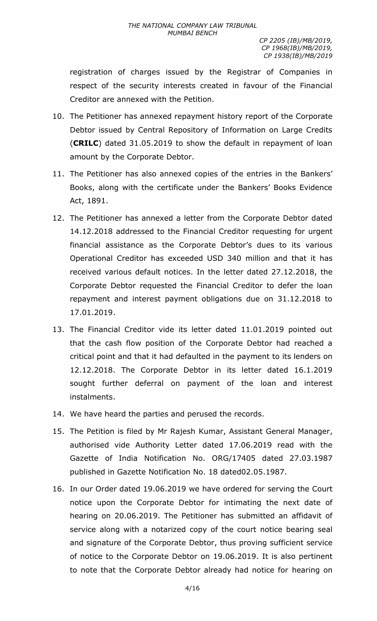registration of charges issued by the Registrar of Companies in respect of the security interests created in favour of the Financial Creditor are annexed with the Petition.

- 10. The Petitioner has annexed repayment history report of the Corporate Debtor issued by Central Repository of Information on Large Credits (**CRILC**) dated 31.05.2019 to show the default in repayment of loan amount by the Corporate Debtor.
- 11. The Petitioner has also annexed copies of the entries in the Bankers' Books, along with the certificate under the Bankers' Books Evidence Act, 1891.
- 12. The Petitioner has annexed a letter from the Corporate Debtor dated 14.12.2018 addressed to the Financial Creditor requesting for urgent financial assistance as the Corporate Debtor's dues to its various Operational Creditor has exceeded USD 340 million and that it has received various default notices. In the letter dated 27.12.2018, the Corporate Debtor requested the Financial Creditor to defer the loan repayment and interest payment obligations due on 31.12.2018 to 17.01.2019.
- 13. The Financial Creditor vide its letter dated 11.01.2019 pointed out that the cash flow position of the Corporate Debtor had reached a critical point and that it had defaulted in the payment to its lenders on 12.12.2018. The Corporate Debtor in its letter dated 16.1.2019 sought further deferral on payment of the loan and interest instalments.
- 14. We have heard the parties and perused the records.
- 15. The Petition is filed by Mr Rajesh Kumar, Assistant General Manager, authorised vide Authority Letter dated 17.06.2019 read with the Gazette of India Notification No. ORG/17405 dated 27.03.1987 published in Gazette Notification No. 18 dated02.05.1987.
- 16. In our Order dated 19.06.2019 we have ordered for serving the Court notice upon the Corporate Debtor for intimating the next date of hearing on 20.06.2019. The Petitioner has submitted an affidavit of service along with a notarized copy of the court notice bearing seal and signature of the Corporate Debtor, thus proving sufficient service of notice to the Corporate Debtor on 19.06.2019. It is also pertinent to note that the Corporate Debtor already had notice for hearing on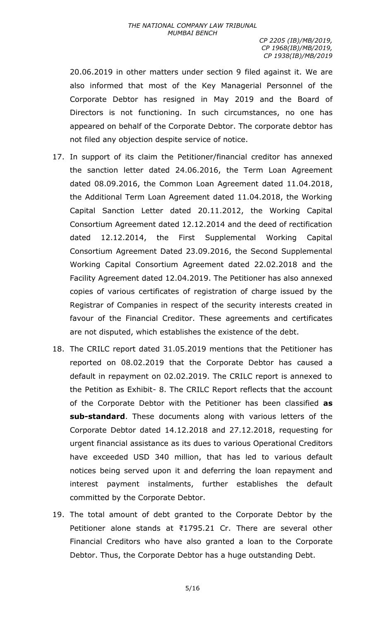20.06.2019 in other matters under section 9 filed against it. We are also informed that most of the Key Managerial Personnel of the Corporate Debtor has resigned in May 2019 and the Board of Directors is not functioning. In such circumstances, no one has appeared on behalf of the Corporate Debtor. The corporate debtor has not filed any objection despite service of notice.

- 17. In support of its claim the Petitioner/financial creditor has annexed the sanction letter dated 24.06.2016, the Term Loan Agreement dated 08.09.2016, the Common Loan Agreement dated 11.04.2018, the Additional Term Loan Agreement dated 11.04.2018, the Working Capital Sanction Letter dated 20.11.2012, the Working Capital Consortium Agreement dated 12.12.2014 and the deed of rectification dated 12.12.2014, the First Supplemental Working Capital Consortium Agreement Dated 23.09.2016, the Second Supplemental Working Capital Consortium Agreement dated 22.02.2018 and the Facility Agreement dated 12.04.2019. The Petitioner has also annexed copies of various certificates of registration of charge issued by the Registrar of Companies in respect of the security interests created in favour of the Financial Creditor. These agreements and certificates are not disputed, which establishes the existence of the debt.
- 18. The CRILC report dated 31.05.2019 mentions that the Petitioner has reported on 08.02.2019 that the Corporate Debtor has caused a default in repayment on 02.02.2019. The CRILC report is annexed to the Petition as Exhibit- 8. The CRILC Report reflects that the account of the Corporate Debtor with the Petitioner has been classified **as sub-standard**. These documents along with various letters of the Corporate Debtor dated 14.12.2018 and 27.12.2018, requesting for urgent financial assistance as its dues to various Operational Creditors have exceeded USD 340 million, that has led to various default notices being served upon it and deferring the loan repayment and interest payment instalments, further establishes the default committed by the Corporate Debtor.
- 19. The total amount of debt granted to the Corporate Debtor by the Petitioner alone stands at ₹1795.21 Cr. There are several other Financial Creditors who have also granted a loan to the Corporate Debtor. Thus, the Corporate Debtor has a huge outstanding Debt.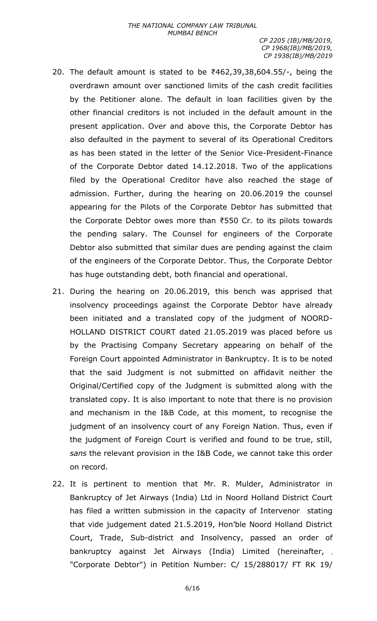- 20. The default amount is stated to be ₹462,39,38,604.55/-, being the overdrawn amount over sanctioned limits of the cash credit facilities by the Petitioner alone. The default in loan facilities given by the other financial creditors is not included in the default amount in the present application. Over and above this, the Corporate Debtor has also defaulted in the payment to several of its Operational Creditors as has been stated in the letter of the Senior Vice-President-Finance of the Corporate Debtor dated 14.12.2018. Two of the applications filed by the Operational Creditor have also reached the stage of admission. Further, during the hearing on 20.06.2019 the counsel appearing for the Pilots of the Corporate Debtor has submitted that the Corporate Debtor owes more than ₹550 Cr. to its pilots towards the pending salary. The Counsel for engineers of the Corporate Debtor also submitted that similar dues are pending against the claim of the engineers of the Corporate Debtor. Thus, the Corporate Debtor has huge outstanding debt, both financial and operational.
- 21. During the hearing on 20.06.2019, this bench was apprised that insolvency proceedings against the Corporate Debtor have already been initiated and a translated copy of the judgment of NOORD-HOLLAND DISTRICT COURT dated 21.05.2019 was placed before us by the Practising Company Secretary appearing on behalf of the Foreign Court appointed Administrator in Bankruptcy. It is to be noted that the said Judgment is not submitted on affidavit neither the Original/Certified copy of the Judgment is submitted along with the translated copy. It is also important to note that there is no provision and mechanism in the I&B Code, at this moment, to recognise the judgment of an insolvency court of any Foreign Nation. Thus, even if the judgment of Foreign Court is verified and found to be true, still, *sans* the relevant provision in the I&B Code, we cannot take this order on record.
- 22. It is pertinent to mention that Mr. R. Mulder, Administrator in Bankruptcy of Jet Airways (India) Ltd in Noord Holland District Court has filed a written submission in the capacity of Intervenor stating that vide judgement dated 21.5.2019, Hon'ble Noord Holland District Court, Trade, Sub-district and Insolvency, passed an order of bankruptcy against Jet Airways (India) Limited (hereinafter, "Corporate Debtor") in Petition Number: C/ 15/288017/ FT RK 19/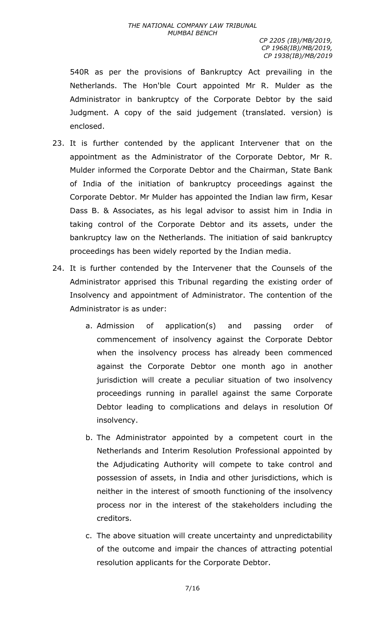#### *THE NATIONAL COMPANY LAW TRIBUNAL MUMBAI BENCH*

*CP 2205 (IB)/MB/2019, CP 1968(IB)/MB/2019, CP 1938(IB)/MB/2019*

540R as per the provisions of Bankruptcy Act prevailing in the Netherlands. The Hon'ble Court appointed Mr R. Mulder as the Administrator in bankruptcy of the Corporate Debtor by the said Judgment. A copy of the said judgement (translated. version) is enclosed.

- 23. It is further contended by the applicant Intervener that on the appointment as the Administrator of the Corporate Debtor, Mr R. Mulder informed the Corporate Debtor and the Chairman, State Bank of India of the initiation of bankruptcy proceedings against the Corporate Debtor. Mr Mulder has appointed the Indian law firm, Kesar Dass B. & Associates, as his legal advisor to assist him in India in taking control of the Corporate Debtor and its assets, under the bankruptcy law on the Netherlands. The initiation of said bankruptcy proceedings has been widely reported by the Indian media.
- 24. It is further contended by the Intervener that the Counsels of the Administrator apprised this Tribunal regarding the existing order of Insolvency and appointment of Administrator. The contention of the Administrator is as under:
	- a. Admission of application(s) and passing order of commencement of insolvency against the Corporate Debtor when the insolvency process has already been commenced against the Corporate Debtor one month ago in another jurisdiction will create a peculiar situation of two insolvency proceedings running in parallel against the same Corporate Debtor leading to complications and delays in resolution Of insolvency.
	- b. The Administrator appointed by a competent court in the Netherlands and Interim Resolution Professional appointed by the Adjudicating Authority will compete to take control and possession of assets, in India and other jurisdictions, which is neither in the interest of smooth functioning of the insolvency process nor in the interest of the stakeholders including the creditors.
	- c. The above situation will create uncertainty and unpredictability of the outcome and impair the chances of attracting potential resolution applicants for the Corporate Debtor.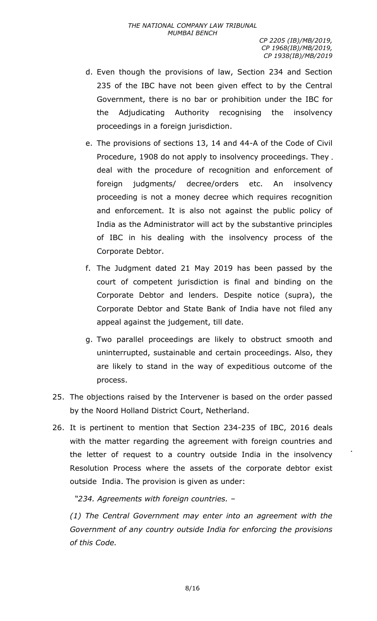- d. Even though the provisions of law, Section 234 and Section 235 of the IBC have not been given effect to by the Central Government, there is no bar or prohibition under the IBC for the Adjudicating Authority recognising the insolvency proceedings in a foreign jurisdiction.
- e. The provisions of sections 13, 14 and 44-A of the Code of Civil Procedure, 1908 do not apply to insolvency proceedings. They. deal with the procedure of recognition and enforcement of foreign judgments/ decree/orders etc. An insolvency proceeding is not a money decree which requires recognition and enforcement. It is also not against the public policy of India as the Administrator will act by the substantive principles of IBC in his dealing with the insolvency process of the Corporate Debtor.
- f. The Judgment dated 21 May 2019 has been passed by the court of competent jurisdiction is final and binding on the Corporate Debtor and lenders. Despite notice (supra), the Corporate Debtor and State Bank of India have not filed any appeal against the judgement, till date.
- g. Two parallel proceedings are likely to obstruct smooth and uninterrupted, sustainable and certain proceedings. Also, they are likely to stand in the way of expeditious outcome of the process.
- 25. The objections raised by the Intervener is based on the order passed by the Noord Holland District Court, Netherland.
- 26. It is pertinent to mention that Section 234-235 of IBC, 2016 deals with the matter regarding the agreement with foreign countries and the letter of request to a country outside India in the insolvency Resolution Process where the assets of the corporate debtor exist outside India. The provision is given as under:

*"234. Agreements with foreign countries. –*

*(1) The Central Government may enter into an agreement with the Government of any country outside India for enforcing the provisions of this Code.*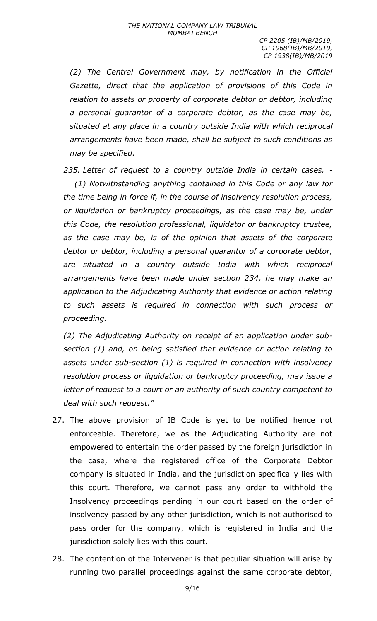*(2) The Central Government may, by notification in the Official Gazette, direct that the application of provisions of this Code in relation to assets or property of corporate debtor or debtor, including a personal guarantor of a corporate debtor, as the case may be, situated at any place in a country outside India with which reciprocal arrangements have been made, shall be subject to such conditions as may be specified.*

*235. Letter of request to a country outside India in certain cases. -*

*(1) Notwithstanding anything contained in this Code or any law for the time being in force if, in the course of insolvency resolution process, or liquidation or bankruptcy proceedings, as the case may be, under this Code, the resolution professional, liquidator or bankruptcy trustee, as the case may be, is of the opinion that assets of the corporate debtor or debtor, including a personal guarantor of a corporate debtor, are situated in a country outside India with which reciprocal arrangements have been made under section 234, he may make an application to the Adjudicating Authority that evidence or action relating to such assets is required in connection with such process or proceeding.*

*(2) The Adjudicating Authority on receipt of an application under subsection (1) and, on being satisfied that evidence or action relating to assets under sub-section (1) is required in connection with insolvency resolution process or liquidation or bankruptcy proceeding, may issue a letter of request to a court or an authority of such country competent to deal with such request."*

- 27. The above provision of IB Code is yet to be notified hence not enforceable. Therefore, we as the Adjudicating Authority are not empowered to entertain the order passed by the foreign jurisdiction in the case, where the registered office of the Corporate Debtor company is situated in India, and the jurisdiction specifically lies with this court. Therefore, we cannot pass any order to withhold the Insolvency proceedings pending in our court based on the order of insolvency passed by any other jurisdiction, which is not authorised to pass order for the company, which is registered in India and the jurisdiction solely lies with this court.
- 28. The contention of the Intervener is that peculiar situation will arise by running two parallel proceedings against the same corporate debtor,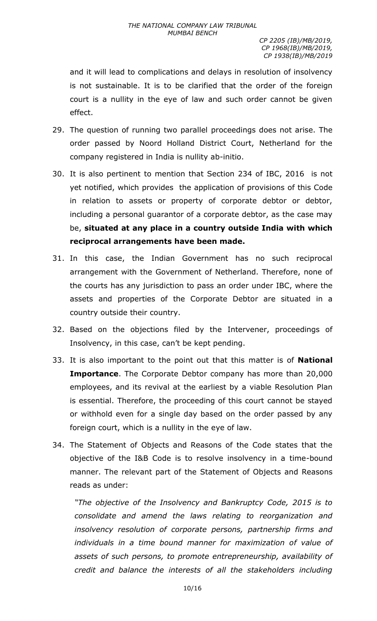and it will lead to complications and delays in resolution of insolvency is not sustainable. It is to be clarified that the order of the foreign court is a nullity in the eye of law and such order cannot be given effect.

- 29. The question of running two parallel proceedings does not arise. The order passed by Noord Holland District Court, Netherland for the company registered in India is nullity ab-initio.
- 30. It is also pertinent to mention that Section 234 of IBC, 2016 is not yet notified, which provides the application of provisions of this Code in relation to assets or property of corporate debtor or debtor, including a personal guarantor of a corporate debtor, as the case may be, **situated at any place in a country outside India with which reciprocal arrangements have been made.**
- 31. In this case, the Indian Government has no such reciprocal arrangement with the Government of Netherland. Therefore, none of the courts has any jurisdiction to pass an order under IBC, where the assets and properties of the Corporate Debtor are situated in a country outside their country.
- 32. Based on the objections filed by the Intervener, proceedings of Insolvency, in this case, can't be kept pending.
- 33. It is also important to the point out that this matter is of **National Importance**. The Corporate Debtor company has more than 20,000 employees, and its revival at the earliest by a viable Resolution Plan is essential. Therefore, the proceeding of this court cannot be stayed or withhold even for a single day based on the order passed by any foreign court, which is a nullity in the eye of law.
- 34. The Statement of Objects and Reasons of the Code states that the objective of the I&B Code is to resolve insolvency in a time-bound manner. The relevant part of the Statement of Objects and Reasons reads as under:

*"The objective of the Insolvency and Bankruptcy Code, 2015 is to consolidate and amend the laws relating to reorganization and insolvency resolution of corporate persons, partnership firms and individuals in a time bound manner for maximization of value of assets of such persons, to promote entrepreneurship, availability of credit and balance the interests of all the stakeholders including*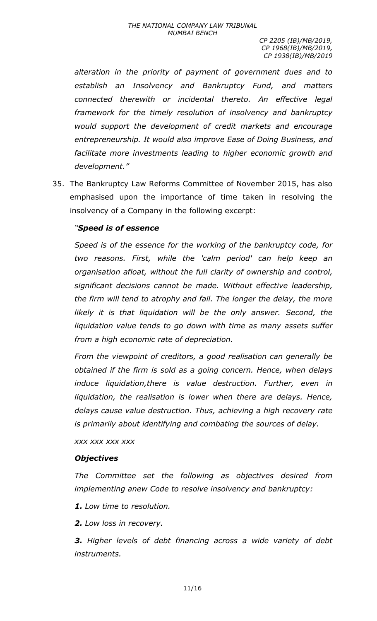*alteration in the priority of payment of government dues and to establish an Insolvency and Bankruptcy Fund, and matters connected therewith or incidental thereto. An effective legal framework for the timely resolution of insolvency and bankruptcy would support the development of credit markets and encourage entrepreneurship. It would also improve Ease of Doing Business, and facilitate more investments leading to higher economic growth and development."*

35. The Bankruptcy Law Reforms Committee of November 2015, has also emphasised upon the importance of time taken in resolving the insolvency of a Company in the following excerpt:

# *"Speed is of essence*

*Speed is of the essence for the working of the bankruptcy code, for two reasons. First, while the 'calm period' can help keep an organisation afloat, without the full clarity of ownership and control, significant decisions cannot be made. Without effective leadership, the firm will tend to atrophy and fail. The longer the delay, the more likely it is that liquidation will be the only answer. Second, the liquidation value tends to go down with time as many assets suffer from a high economic rate of depreciation.*

*From the viewpoint of creditors, a good realisation can generally be obtained if the firm is sold as a going concern. Hence, when delays induce liquidation,there is value destruction. Further, even in liquidation, the realisation is lower when there are delays. Hence, delays cause value destruction. Thus, achieving a high recovery rate is primarily about identifying and combating the sources of delay.*

*xxx xxx xxx xxx*

## *Objectives*

*The Committee set the following as objectives desired from implementing anew Code to resolve insolvency and bankruptcy:*

*1. Low time to resolution.*

*2. Low loss in recovery.*

*3. Higher levels of debt financing across a wide variety of debt instruments.*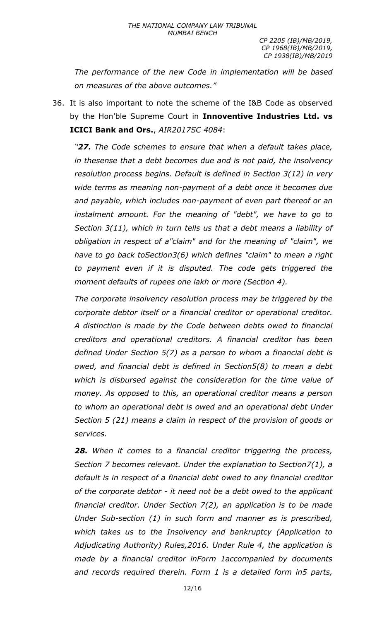*The performance of the new Code in implementation will be based on measures of the above outcomes."*

36. It is also important to note the scheme of the I&B Code as observed by the Hon'ble Supreme Court in **Innoventive Industries Ltd. vs ICICI Bank and Ors.**, *AIR2017SC 4084*:

*"27. The Code schemes to ensure that when a default takes place, in thesense that a debt becomes due and is not paid, the insolvency resolution process begins. Default is defined in Section 3(12) in very wide terms as meaning non-payment of a debt once it becomes due and payable, which includes non-payment of even part thereof or an instalment amount. For the meaning of "debt", we have to go to Section 3(11), which in turn tells us that a debt means a liability of obligation in respect of a"claim" and for the meaning of "claim", we have to go back toSection3(6) which defines "claim" to mean a right to payment even if it is disputed. The code gets triggered the moment defaults of rupees one lakh or more (Section 4).*

*The corporate insolvency resolution process may be triggered by the corporate debtor itself or a financial creditor or operational creditor. A distinction is made by the Code between debts owed to financial creditors and operational creditors. A financial creditor has been defined Under Section 5(7) as a person to whom a financial debt is owed, and financial debt is defined in Section5(8) to mean a debt which is disbursed against the consideration for the time value of money. As opposed to this, an operational creditor means a person to whom an operational debt is owed and an operational debt Under Section 5 (21) means a claim in respect of the provision of goods or services.*

*28. When it comes to a financial creditor triggering the process, Section 7 becomes relevant. Under the explanation to Section7(1), a default is in respect of a financial debt owed to any financial creditor of the corporate debtor - it need not be a debt owed to the applicant financial creditor. Under Section 7(2), an application is to be made Under Sub-section (1) in such form and manner as is prescribed, which takes us to the Insolvency and bankruptcy (Application to Adjudicating Authority) Rules,2016. Under Rule 4, the application is made by a financial creditor inForm 1accompanied by documents and records required therein. Form 1 is a detailed form in5 parts,*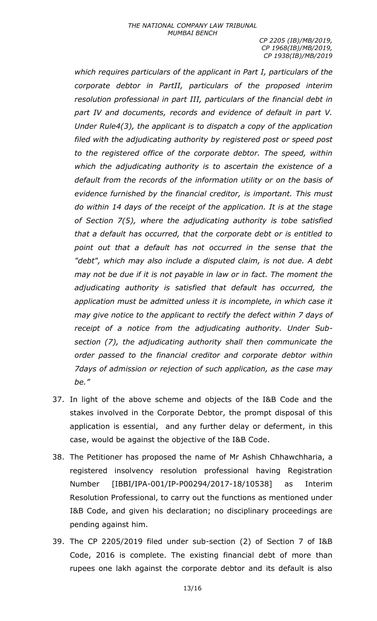*which requires particulars of the applicant in Part I, particulars of the corporate debtor in PartII, particulars of the proposed interim resolution professional in part III, particulars of the financial debt in part IV and documents, records and evidence of default in part V. Under Rule4(3), the applicant is to dispatch a copy of the application filed with the adjudicating authority by registered post or speed post to the registered office of the corporate debtor. The speed, within which the adjudicating authority is to ascertain the existence of a default from the records of the information utility or on the basis of evidence furnished by the financial creditor, is important. This must do within 14 days of the receipt of the application. It is at the stage of Section 7(5), where the adjudicating authority is tobe satisfied that a default has occurred, that the corporate debt or is entitled to point out that a default has not occurred in the sense that the "debt", which may also include a disputed claim, is not due. A debt may not be due if it is not payable in law or in fact. The moment the adjudicating authority is satisfied that default has occurred, the application must be admitted unless it is incomplete, in which case it may give notice to the applicant to rectify the defect within 7 days of receipt of a notice from the adjudicating authority. Under Subsection (7), the adjudicating authority shall then communicate the order passed to the financial creditor and corporate debtor within 7days of admission or rejection of such application, as the case may be."*

- 37. In light of the above scheme and objects of the I&B Code and the stakes involved in the Corporate Debtor, the prompt disposal of this application is essential, and any further delay or deferment, in this case, would be against the objective of the I&B Code.
- 38. The Petitioner has proposed the name of Mr Ashish Chhawchharia, a registered insolvency resolution professional having Registration Number [IBBI/IPA-001/IP-P00294/2017-18/10538] as Interim Resolution Professional, to carry out the functions as mentioned under I&B Code, and given his declaration; no disciplinary proceedings are pending against him.
- 39. The CP 2205/2019 filed under sub-section (2) of Section 7 of I&B Code, 2016 is complete. The existing financial debt of more than rupees one lakh against the corporate debtor and its default is also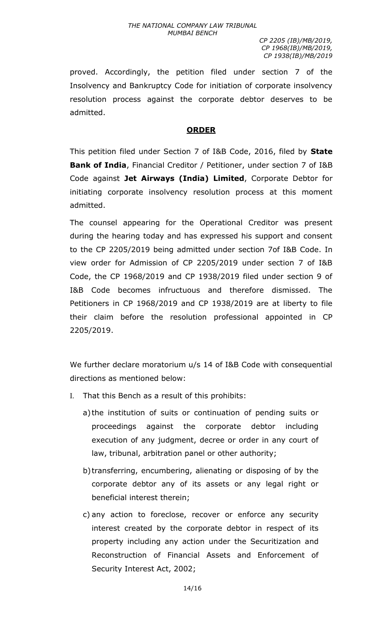proved. Accordingly, the petition filed under section 7 of the Insolvency and Bankruptcy Code for initiation of corporate insolvency resolution process against the corporate debtor deserves to be admitted.

## **ORDER**

This petition filed under Section 7 of I&B Code, 2016, filed by **State Bank of India**, Financial Creditor / Petitioner, under section 7 of I&B Code against **Jet Airways (India) Limited**, Corporate Debtor for initiating corporate insolvency resolution process at this moment admitted.

The counsel appearing for the Operational Creditor was present during the hearing today and has expressed his support and consent to the CP 2205/2019 being admitted under section 7of I&B Code. In view order for Admission of CP 2205/2019 under section 7 of I&B Code, the CP 1968/2019 and CP 1938/2019 filed under section 9 of I&B Code becomes infructuous and therefore dismissed. The Petitioners in CP 1968/2019 and CP 1938/2019 are at liberty to file their claim before the resolution professional appointed in CP 2205/2019.

We further declare moratorium u/s 14 of I&B Code with consequential directions as mentioned below:

- I. That this Bench as a result of this prohibits:
	- a) the institution of suits or continuation of pending suits or proceedings against the corporate debtor including execution of any judgment, decree or order in any court of law, tribunal, arbitration panel or other authority;
	- b) transferring, encumbering, alienating or disposing of by the corporate debtor any of its assets or any legal right or beneficial interest therein;
	- c) any action to foreclose, recover or enforce any security interest created by the corporate debtor in respect of its property including any action under the Securitization and Reconstruction of Financial Assets and Enforcement of Security Interest Act, 2002;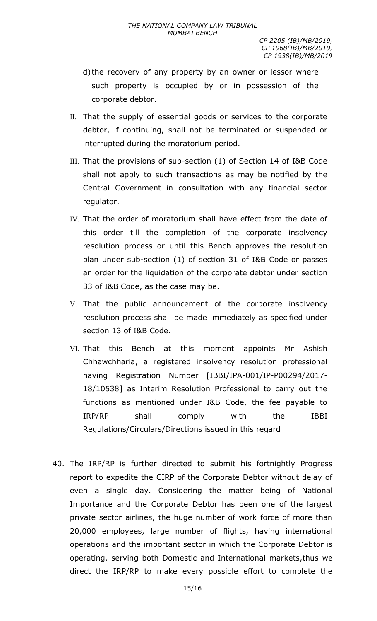- d) the recovery of any property by an owner or lessor where such property is occupied by or in possession of the corporate debtor.
- II. That the supply of essential goods or services to the corporate debtor, if continuing, shall not be terminated or suspended or interrupted during the moratorium period.
- III. That the provisions of sub-section (1) of Section 14 of I&B Code shall not apply to such transactions as may be notified by the Central Government in consultation with any financial sector regulator.
- IV. That the order of moratorium shall have effect from the date of this order till the completion of the corporate insolvency resolution process or until this Bench approves the resolution plan under sub-section (1) of section 31 of I&B Code or passes an order for the liquidation of the corporate debtor under section 33 of I&B Code, as the case may be.
- V. That the public announcement of the corporate insolvency resolution process shall be made immediately as specified under section 13 of I&B Code.
- VI. That this Bench at this moment appoints Mr Ashish Chhawchharia, a registered insolvency resolution professional having Registration Number [IBBI/IPA-001/IP-P00294/2017- 18/10538] as Interim Resolution Professional to carry out the functions as mentioned under I&B Code, the fee payable to IRP/RP shall comply with the IBBI Regulations/Circulars/Directions issued in this regard
- 40. The IRP/RP is further directed to submit his fortnightly Progress report to expedite the CIRP of the Corporate Debtor without delay of even a single day. Considering the matter being of National Importance and the Corporate Debtor has been one of the largest private sector airlines, the huge number of work force of more than 20,000 employees, large number of flights, having international operations and the important sector in which the Corporate Debtor is operating, serving both Domestic and International markets,thus we direct the IRP/RP to make every possible effort to complete the